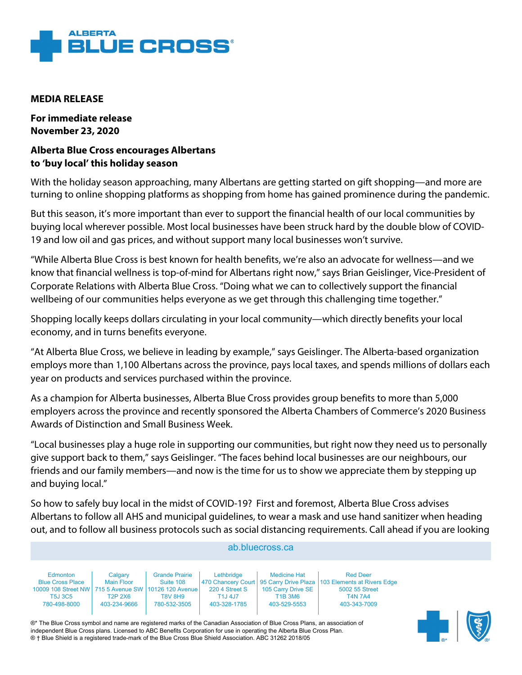

## **MEDIA RELEASE**

**For immediate release November 23, 2020**

## **Alberta Blue Cross encourages Albertans to 'buy local' this holiday season**

With the holiday season approaching, many Albertans are getting started on gift shopping—and more are turning to online shopping platforms as shopping from home has gained prominence during the pandemic.

But this season, it's more important than ever to support the financial health of our local communities by buying local wherever possible. Most local businesses have been struck hard by the double blow of COVID-19 and low oil and gas prices, and without support many local businesses won't survive.

"While Alberta Blue Cross is best known for health benefits, we're also an advocate for wellness—and we know that financial wellness is top-of-mind for Albertans right now," says Brian Geislinger, Vice-President of Corporate Relations with Alberta Blue Cross. "Doing what we can to collectively support the financial wellbeing of our communities helps everyone as we get through this challenging time together."

Shopping locally keeps dollars circulating in your local community—which directly benefits your local economy, and in turns benefits everyone.

"At Alberta Blue Cross, we believe in leading by example," says Geislinger. The Alberta-based organization employs more than 1,100 Albertans across the province, pays local taxes, and spends millions of dollars each year on products and services purchased within the province.

As a champion for Alberta businesses, Alberta Blue Cross provides group benefits to more than 5,000 employers across the province and recently sponsored the Alberta Chambers of Commerce's 2020 Business Awards of Distinction and Small Business Week.

"Local businesses play a huge role in supporting our communities, but right now they need us to personally give support back to them," says Geislinger. "The faces behind local businesses are our neighbours, our friends and our family members—and now is the time for us to show we appreciate them by stepping up and buying local."

So how to safely buy local in the midst of COVID-19? First and foremost, Alberta Blue Cross advises Albertans to follow all AHS and municipal guidelines, to wear a mask and use hand sanitizer when heading out, and to follow all business protocols such as social distancing requirements. Call ahead if you are looking

| ab.bluecross.ca                                                                                                               |                                                         |                                                                      |                                                         |                                                                             |                                                                                                                                                |  |  |
|-------------------------------------------------------------------------------------------------------------------------------|---------------------------------------------------------|----------------------------------------------------------------------|---------------------------------------------------------|-----------------------------------------------------------------------------|------------------------------------------------------------------------------------------------------------------------------------------------|--|--|
| Edmonton<br><b>Blue Cross Place</b><br>10009 108 Street NW 715 5 Avenue SW 10126 120 Avenue<br><b>T5J 3C5</b><br>780-498-8000 | Calgary<br><b>Main Floor</b><br>T2P 2X6<br>403-234-9666 | <b>Grande Prairie</b><br>Suite 108<br><b>T8V 8H9</b><br>780-532-3505 | Lethbridge<br>220 4 Street S<br>T1J 4J7<br>403-328-1785 | <b>Medicine Hat</b><br>105 Carry Drive SE<br><b>T1B 3M6</b><br>403-529-5553 | <b>Red Deer</b><br>470 Chancery Court   95 Carry Drive Plaza   103 Elements at Rivers Edge<br>5002 55 Street<br><b>T4N 7A4</b><br>403-343-7009 |  |  |

®\* The Blue Cross symbol and name are registered marks of the Canadian Association of Blue Cross Plans, an association of independent Blue Cross plans. Licensed to ABC Benefits Corporation for use in operating the Alberta Blue Cross Plan. ® † Blue Shield is a registered trade-mark of the Blue Cross Blue Shield Association. ABC 31262 2018/05